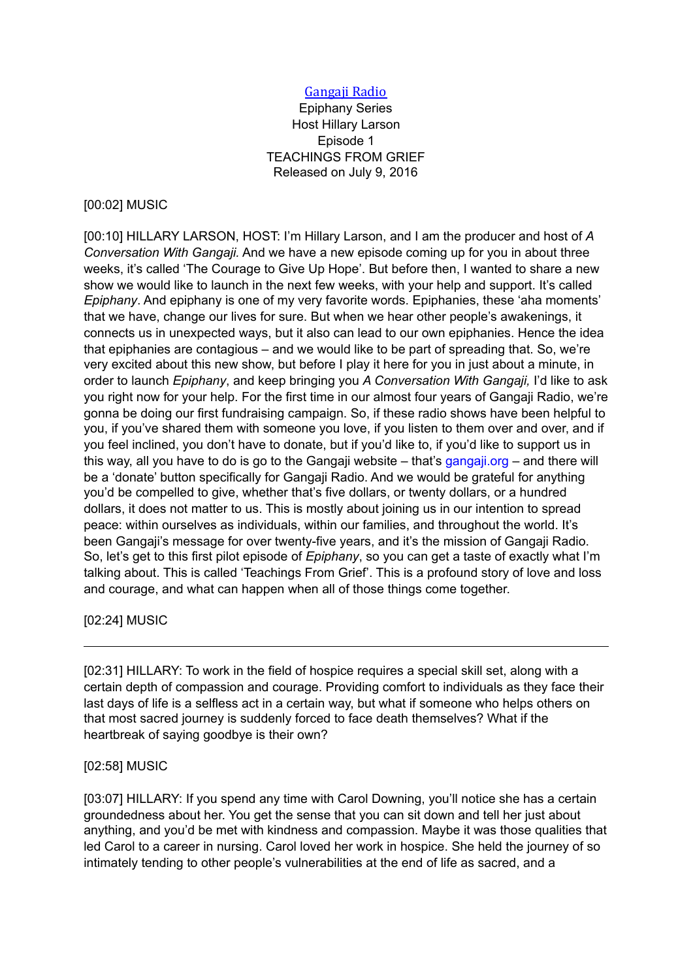## Gangaji Radio

Epiphany Series Host Hillary Larson Episode 1 TEACHINGS FROM GRIEF Released on July 9, 2016

#### [00:02] MUSIC

[00:10] HILLARY LARSON, HOST: I'm Hillary Larson, and I am the producer and host of *A Conversation With Gangaji.* And we have a new episode coming up for you in about three weeks, it's called 'The Courage to Give Up Hope'. But before then, I wanted to share a new show we would like to launch in the next few weeks, with your help and support. It's called *Epiphany*. And epiphany is one of my very favorite words. Epiphanies, these 'aha moments' that we have, change our lives for sure. But when we hear other people's awakenings, it connects us in unexpected ways, but it also can lead to our own epiphanies. Hence the idea that epiphanies are contagious – and we would like to be part of spreading that. So, we're very excited about this new show, but before I play it here for you in just about a minute, in order to launch *Epiphany*, and keep bringing you *A Conversation With Gangaji,* I'd like to ask you right now for your help. For the first time in our almost four years of Gangaji Radio, we're gonna be doing our first fundraising campaign. So, if these radio shows have been helpful to you, if you've shared them with someone you love, if you listen to them over and over, and if you feel inclined, you don't have to donate, but if you'd like to, if you'd like to support us in this way, all you have to do is go to the Gangaji website  $-$  that's [gangaji.org](http://www.gangaji.org/)  $-$  and there will be a 'donate' button specifically for Gangaji Radio. And we would be grateful for anything you'd be compelled to give, whether that's five dollars, or twenty dollars, or a hundred dollars, it does not matter to us. This is mostly about joining us in our intention to spread peace: within ourselves as individuals, within our families, and throughout the world. It's been Gangaji's message for over twenty-five years, and it's the mission of Gangaji Radio. So, let's get to this first pilot episode of *Epiphany*, so you can get a taste of exactly what I'm talking about. This is called 'Teachings From Grief'. This is a profound story of love and loss and courage, and what can happen when all of those things come together.

### [02:24] MUSIC

[02:31] HILLARY: To work in the field of hospice requires a special skill set, along with a certain depth of compassion and courage. Providing comfort to individuals as they face their last days of life is a selfless act in a certain way, but what if someone who helps others on that most sacred journey is suddenly forced to face death themselves? What if the heartbreak of saying goodbye is their own?

#### [02:58] MUSIC

[03:07] HILLARY: If you spend any time with Carol Downing, you'll notice she has a certain groundedness about her. You get the sense that you can sit down and tell her just about anything, and you'd be met with kindness and compassion. Maybe it was those qualities that led Carol to a career in nursing. Carol loved her work in hospice. She held the journey of so intimately tending to other people's vulnerabilities at the end of life as sacred, and a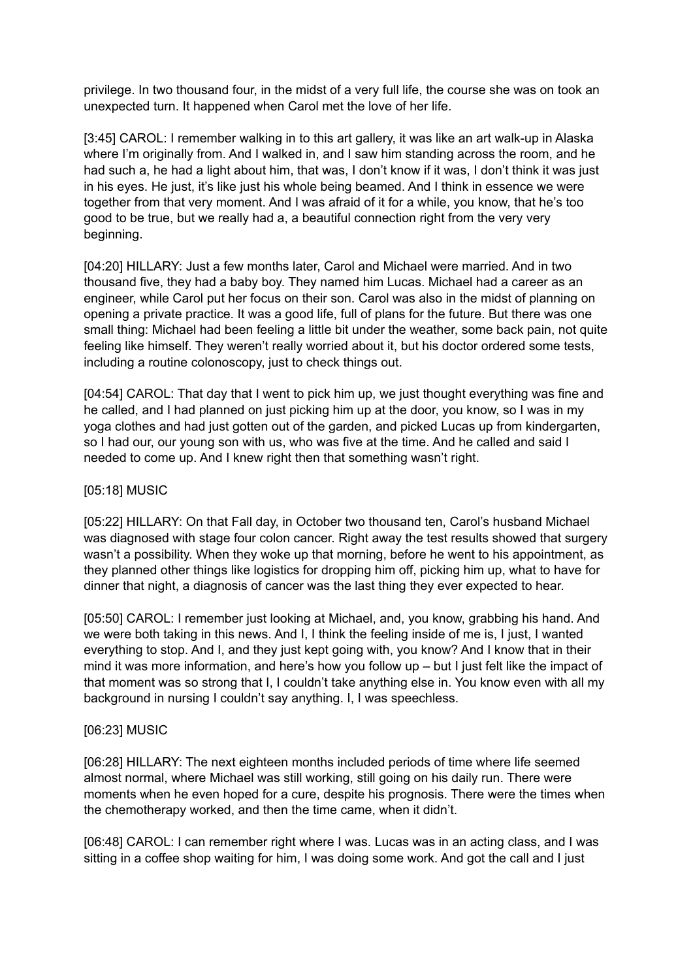privilege. In two thousand four, in the midst of a very full life, the course she was on took an unexpected turn. It happened when Carol met the love of her life.

[3:45] CAROL: I remember walking in to this art gallery, it was like an art walk-up in Alaska where I'm originally from. And I walked in, and I saw him standing across the room, and he had such a, he had a light about him, that was, I don't know if it was, I don't think it was just in his eyes. He just, it's like just his whole being beamed. And I think in essence we were together from that very moment. And I was afraid of it for a while, you know, that he's too good to be true, but we really had a, a beautiful connection right from the very very beginning.

[04:20] HILLARY: Just a few months later, Carol and Michael were married. And in two thousand five, they had a baby boy. They named him Lucas. Michael had a career as an engineer, while Carol put her focus on their son. Carol was also in the midst of planning on opening a private practice. It was a good life, full of plans for the future. But there was one small thing: Michael had been feeling a little bit under the weather, some back pain, not quite feeling like himself. They weren't really worried about it, but his doctor ordered some tests, including a routine colonoscopy, just to check things out.

[04:54] CAROL: That day that I went to pick him up, we just thought everything was fine and he called, and I had planned on just picking him up at the door, you know, so I was in my yoga clothes and had just gotten out of the garden, and picked Lucas up from kindergarten, so I had our, our young son with us, who was five at the time. And he called and said I needed to come up. And I knew right then that something wasn't right.

### [05:18] MUSIC

[05:22] HILLARY: On that Fall day, in October two thousand ten, Carol's husband Michael was diagnosed with stage four colon cancer. Right away the test results showed that surgery wasn't a possibility. When they woke up that morning, before he went to his appointment, as they planned other things like logistics for dropping him off, picking him up, what to have for dinner that night, a diagnosis of cancer was the last thing they ever expected to hear.

[05:50] CAROL: I remember just looking at Michael, and, you know, grabbing his hand. And we were both taking in this news. And I, I think the feeling inside of me is, I just, I wanted everything to stop. And I, and they just kept going with, you know? And I know that in their mind it was more information, and here's how you follow up – but I just felt like the impact of that moment was so strong that I, I couldn't take anything else in. You know even with all my background in nursing I couldn't say anything. I, I was speechless.

### [06:23] MUSIC

[06:28] HILLARY: The next eighteen months included periods of time where life seemed almost normal, where Michael was still working, still going on his daily run. There were moments when he even hoped for a cure, despite his prognosis. There were the times when the chemotherapy worked, and then the time came, when it didn't.

[06:48] CAROL: I can remember right where I was. Lucas was in an acting class, and I was sitting in a coffee shop waiting for him, I was doing some work. And got the call and I just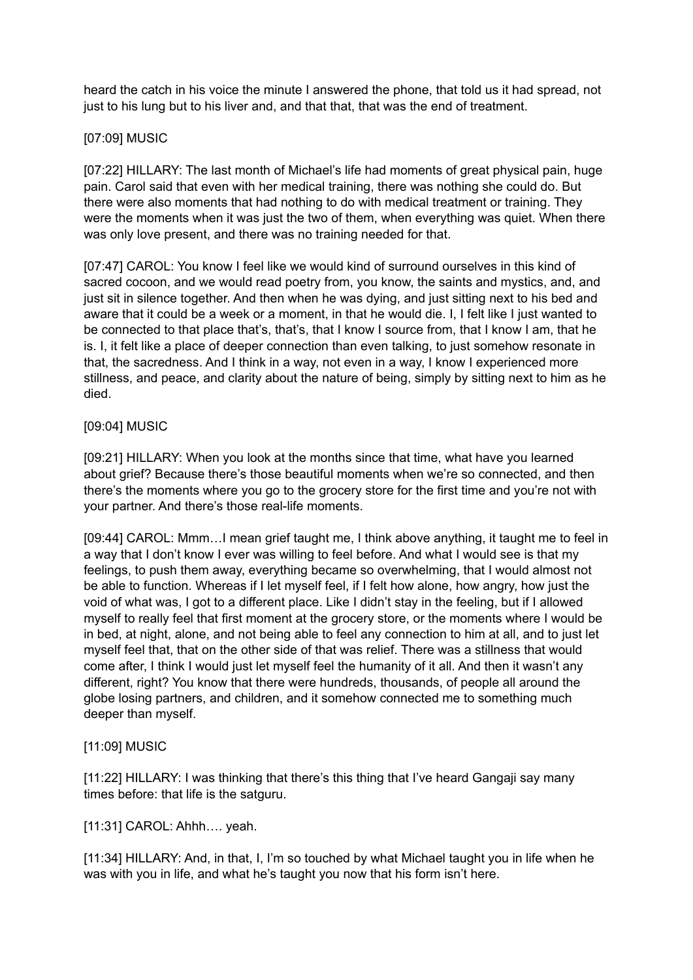heard the catch in his voice the minute I answered the phone, that told us it had spread, not just to his lung but to his liver and, and that that, that was the end of treatment.

## [07:09] MUSIC

[07:22] HILLARY: The last month of Michael's life had moments of great physical pain, huge pain. Carol said that even with her medical training, there was nothing she could do. But there were also moments that had nothing to do with medical treatment or training. They were the moments when it was just the two of them, when everything was quiet. When there was only love present, and there was no training needed for that.

[07:47] CAROL: You know I feel like we would kind of surround ourselves in this kind of sacred cocoon, and we would read poetry from, you know, the saints and mystics, and, and just sit in silence together. And then when he was dying, and just sitting next to his bed and aware that it could be a week or a moment, in that he would die. I, I felt like I just wanted to be connected to that place that's, that's, that I know I source from, that I know I am, that he is. I, it felt like a place of deeper connection than even talking, to just somehow resonate in that, the sacredness. And I think in a way, not even in a way, I know I experienced more stillness, and peace, and clarity about the nature of being, simply by sitting next to him as he died.

### [09:04] MUSIC

[09:21] HILLARY: When you look at the months since that time, what have you learned about grief? Because there's those beautiful moments when we're so connected, and then there's the moments where you go to the grocery store for the first time and you're not with your partner. And there's those real-life moments.

[09:44] CAROL: Mmm…I mean grief taught me, I think above anything, it taught me to feel in a way that I don't know I ever was willing to feel before. And what I would see is that my feelings, to push them away, everything became so overwhelming, that I would almost not be able to function. Whereas if I let myself feel, if I felt how alone, how angry, how just the void of what was, I got to a different place. Like I didn't stay in the feeling, but if I allowed myself to really feel that first moment at the grocery store, or the moments where I would be in bed, at night, alone, and not being able to feel any connection to him at all, and to just let myself feel that, that on the other side of that was relief. There was a stillness that would come after, I think I would just let myself feel the humanity of it all. And then it wasn't any different, right? You know that there were hundreds, thousands, of people all around the globe losing partners, and children, and it somehow connected me to something much deeper than myself.

# [11:09] MUSIC

[11:22] HILLARY: I was thinking that there's this thing that I've heard Gangaji say many times before: that life is the satguru.

[11:31] CAROL: Ahhh…. yeah.

[11:34] HILLARY: And, in that, I, I'm so touched by what Michael taught you in life when he was with you in life, and what he's taught you now that his form isn't here.